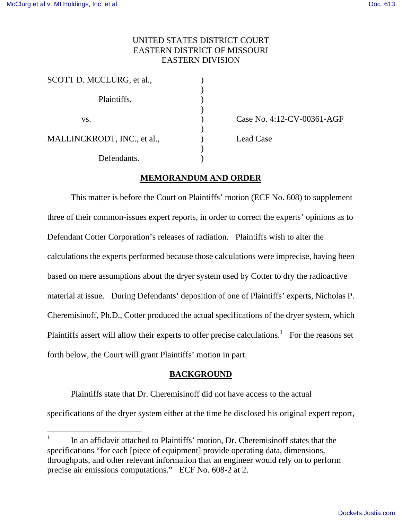$\overline{a}$ 

# UNITED STATES DISTRICT COURT EASTERN DISTRICT OF MISSOURI EASTERN DIVISION

| SCOTT D. MCCLURG, et al.,   |  |
|-----------------------------|--|
| Plaintiffs,                 |  |
| VS.                         |  |
| MALLINCKRODT, INC., et al., |  |
| Defendants.                 |  |

Case No. 4:12-CV-00361-AGF

Lead Case

### **MEMORANDUM AND ORDER**

 This matter is before the Court on Plaintiffs' motion (ECF No. 608) to supplement three of their common-issues expert reports, in order to correct the experts' opinions as to Defendant Cotter Corporation's releases of radiation. Plaintiffs wish to alter the calculations the experts performed because those calculations were imprecise, having been based on mere assumptions about the dryer system used by Cotter to dry the radioactive material at issue. During Defendants' deposition of one of Plaintiffs' experts, Nicholas P. Cheremisinoff, Ph.D., Cotter produced the actual specifications of the dryer system, which Plaintiffs assert will allow their experts to offer precise calculations.<sup>1</sup> For the reasons set forth below, the Court will grant Plaintiffs' motion in part.

### **BACKGROUND**

Plaintiffs state that Dr. Cheremisinoff did not have access to the actual specifications of the dryer system either at the time he disclosed his original expert report,

<sup>1</sup> In an affidavit attached to Plaintiffs' motion, Dr. Cheremisinoff states that the specifications "for each [piece of equipment] provide operating data, dimensions, throughputs, and other relevant information that an engineer would rely on to perform precise air emissions computations." ECF No. 608-2 at 2.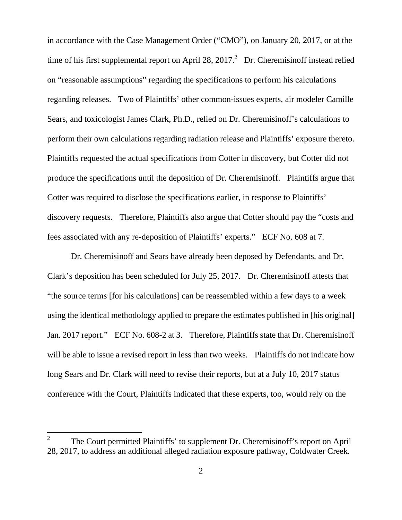in accordance with the Case Management Order ("CMO"), on January 20, 2017, or at the time of his first supplemental report on April 28, 2017. $^2$  Dr. Cheremisinoff instead relied on "reasonable assumptions" regarding the specifications to perform his calculations regarding releases. Two of Plaintiffs' other common-issues experts, air modeler Camille Sears, and toxicologist James Clark, Ph.D., relied on Dr. Cheremisinoff's calculations to perform their own calculations regarding radiation release and Plaintiffs' exposure thereto. Plaintiffs requested the actual specifications from Cotter in discovery, but Cotter did not produce the specifications until the deposition of Dr. Cheremisinoff. Plaintiffs argue that Cotter was required to disclose the specifications earlier, in response to Plaintiffs' discovery requests. Therefore, Plaintiffs also argue that Cotter should pay the "costs and fees associated with any re-deposition of Plaintiffs' experts." ECF No. 608 at 7.

Dr. Cheremisinoff and Sears have already been deposed by Defendants, and Dr. Clark's deposition has been scheduled for July 25, 2017. Dr. Cheremisinoff attests that "the source terms [for his calculations] can be reassembled within a few days to a week using the identical methodology applied to prepare the estimates published in [his original] Jan. 2017 report." ECF No. 608-2 at 3. Therefore, Plaintiffs state that Dr. Cheremisinoff will be able to issue a revised report in less than two weeks. Plaintiffs do not indicate how long Sears and Dr. Clark will need to revise their reports, but at a July 10, 2017 status conference with the Court, Plaintiffs indicated that these experts, too, would rely on the

 $\overline{a}$ 

<sup>2</sup> The Court permitted Plaintiffs' to supplement Dr. Cheremisinoff's report on April 28, 2017, to address an additional alleged radiation exposure pathway, Coldwater Creek.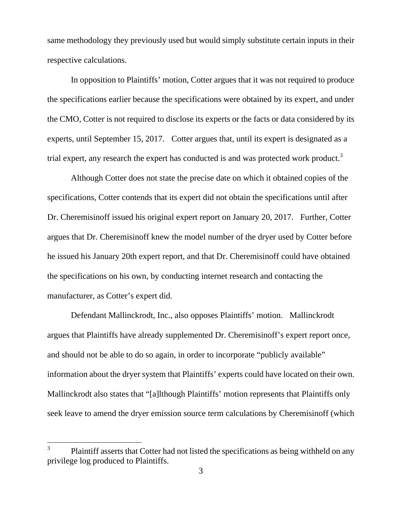same methodology they previously used but would simply substitute certain inputs in their respective calculations.

 In opposition to Plaintiffs' motion, Cotter argues that it was not required to produce the specifications earlier because the specifications were obtained by its expert, and under the CMO, Cotter is not required to disclose its experts or the facts or data considered by its experts, until September 15, 2017. Cotter argues that, until its expert is designated as a trial expert, any research the expert has conducted is and was protected work product.<sup>3</sup>

Although Cotter does not state the precise date on which it obtained copies of the specifications, Cotter contends that its expert did not obtain the specifications until after Dr. Cheremisinoff issued his original expert report on January 20, 2017. Further, Cotter argues that Dr. Cheremisinoff knew the model number of the dryer used by Cotter before he issued his January 20th expert report, and that Dr. Cheremisinoff could have obtained the specifications on his own, by conducting internet research and contacting the manufacturer, as Cotter's expert did.

 Defendant Mallinckrodt, Inc., also opposes Plaintiffs' motion. Mallinckrodt argues that Plaintiffs have already supplemented Dr. Cheremisinoff's expert report once, and should not be able to do so again, in order to incorporate "publicly available" information about the dryer system that Plaintiffs' experts could have located on their own. Mallinckrodt also states that "[a]lthough Plaintiffs' motion represents that Plaintiffs only seek leave to amend the dryer emission source term calculations by Cheremisinoff (which

 3 Plaintiff asserts that Cotter had not listed the specifications as being withheld on any privilege log produced to Plaintiffs.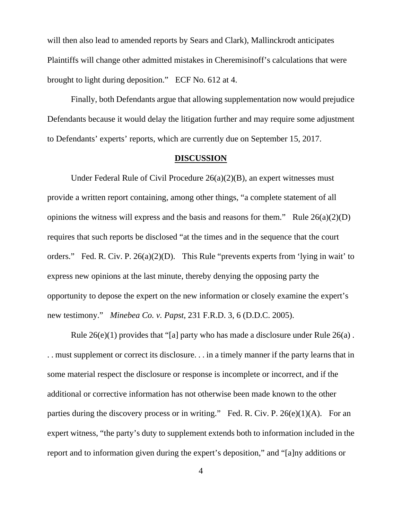will then also lead to amended reports by Sears and Clark), Mallinckrodt anticipates Plaintiffs will change other admitted mistakes in Cheremisinoff's calculations that were brought to light during deposition." ECF No. 612 at 4.

 Finally, both Defendants argue that allowing supplementation now would prejudice Defendants because it would delay the litigation further and may require some adjustment to Defendants' experts' reports, which are currently due on September 15, 2017.

#### **DISCUSSION**

 Under Federal Rule of Civil Procedure 26(a)(2)(B), an expert witnesses must provide a written report containing, among other things, "a complete statement of all opinions the witness will express and the basis and reasons for them." Rule  $26(a)(2)(D)$ requires that such reports be disclosed "at the times and in the sequence that the court orders." Fed. R. Civ. P. 26(a)(2)(D). This Rule "prevents experts from 'lying in wait' to express new opinions at the last minute, thereby denying the opposing party the opportunity to depose the expert on the new information or closely examine the expert's new testimony." *Minebea Co. v. Papst*, 231 F.R.D. 3, 6 (D.D.C. 2005).

 Rule 26(e)(1) provides that "[a] party who has made a disclosure under Rule 26(a) . . . must supplement or correct its disclosure. . . in a timely manner if the party learns that in some material respect the disclosure or response is incomplete or incorrect, and if the additional or corrective information has not otherwise been made known to the other parties during the discovery process or in writing." Fed. R. Civ. P.  $26(e)(1)(A)$ . For an expert witness, "the party's duty to supplement extends both to information included in the report and to information given during the expert's deposition," and "[a]ny additions or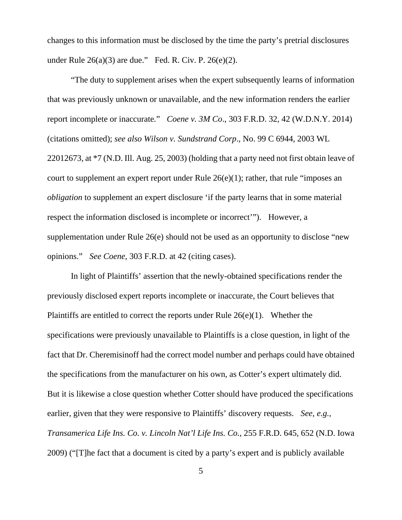changes to this information must be disclosed by the time the party's pretrial disclosures under Rule  $26(a)(3)$  are due." Fed. R. Civ. P.  $26(e)(2)$ .

"The duty to supplement arises when the expert subsequently learns of information that was previously unknown or unavailable, and the new information renders the earlier report incomplete or inaccurate*.*" *Coene v. 3M Co*., 303 F.R.D. 32, 42 (W.D.N.Y. 2014) (citations omitted); *see also Wilson v. Sundstrand Corp*., No. 99 C 6944, 2003 WL 22012673, at \*7 (N.D. Ill. Aug. 25, 2003) (holding that a party need not first obtain leave of court to supplement an expert report under Rule 26(e)(1); rather, that rule "imposes an *obligation* to supplement an expert disclosure 'if the party learns that in some material respect the information disclosed is incomplete or incorrect'"). However, a supplementation under Rule 26(e) should not be used as an opportunity to disclose "new opinions." *See Coene*, 303 F.R.D. at 42 (citing cases).

 In light of Plaintiffs' assertion that the newly-obtained specifications render the previously disclosed expert reports incomplete or inaccurate, the Court believes that Plaintiffs are entitled to correct the reports under Rule 26(e)(1). Whether the specifications were previously unavailable to Plaintiffs is a close question, in light of the fact that Dr. Cheremisinoff had the correct model number and perhaps could have obtained the specifications from the manufacturer on his own, as Cotter's expert ultimately did. But it is likewise a close question whether Cotter should have produced the specifications earlier, given that they were responsive to Plaintiffs' discovery requests. *See, e.g., Transamerica Life Ins. Co. v. Lincoln Nat'l Life Ins. Co.*, 255 F.R.D. 645, 652 (N.D. Iowa 2009) ("[T]he fact that a document is cited by a party's expert and is publicly available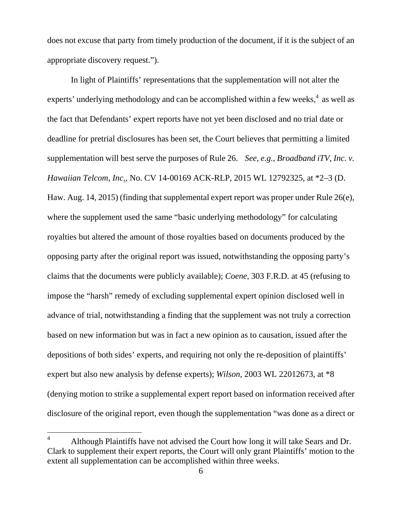does not excuse that party from timely production of the document, if it is the subject of an appropriate discovery request.").

 In light of Plaintiffs' representations that the supplementation will not alter the experts' underlying methodology and can be accomplished within a few weeks, $4$  as well as the fact that Defendants' expert reports have not yet been disclosed and no trial date or deadline for pretrial disclosures has been set, the Court believes that permitting a limited supplementation will best serve the purposes of Rule 26. *See, e.g., Broadband iTV, Inc. v. Hawaiian Telcom, Inc*., No. CV 14-00169 ACK-RLP, 2015 WL 12792325, at \*2–3 (D. Haw. Aug. 14, 2015) (finding that supplemental expert report was proper under Rule 26(e), where the supplement used the same "basic underlying methodology" for calculating royalties but altered the amount of those royalties based on documents produced by the opposing party after the original report was issued, notwithstanding the opposing party's claims that the documents were publicly available); *Coene*, 303 F.R.D. at 45 (refusing to impose the "harsh" remedy of excluding supplemental expert opinion disclosed well in advance of trial, notwithstanding a finding that the supplement was not truly a correction based on new information but was in fact a new opinion as to causation, issued after the depositions of both sides' experts, and requiring not only the re-deposition of plaintiffs' expert but also new analysis by defense experts); *Wilson*, 2003 WL 22012673, at \*8 (denying motion to strike a supplemental expert report based on information received after disclosure of the original report, even though the supplementation "was done as a direct or

<u>.</u>

<sup>4</sup> Although Plaintiffs have not advised the Court how long it will take Sears and Dr. Clark to supplement their expert reports, the Court will only grant Plaintiffs' motion to the extent all supplementation can be accomplished within three weeks.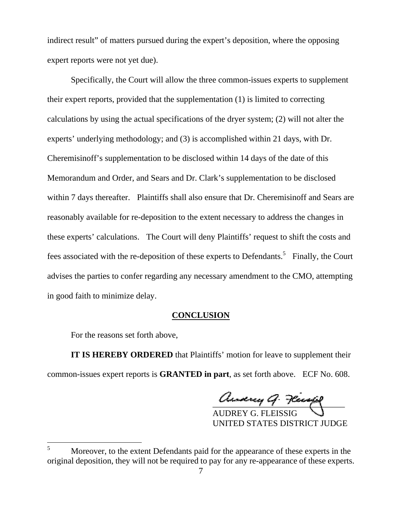indirect result" of matters pursued during the expert's deposition, where the opposing expert reports were not yet due).

 Specifically, the Court will allow the three common-issues experts to supplement their expert reports, provided that the supplementation (1) is limited to correcting calculations by using the actual specifications of the dryer system; (2) will not alter the experts' underlying methodology; and (3) is accomplished within 21 days, with Dr. Cheremisinoff's supplementation to be disclosed within 14 days of the date of this Memorandum and Order, and Sears and Dr. Clark's supplementation to be disclosed within 7 days thereafter. Plaintiffs shall also ensure that Dr. Cheremisinoff and Sears are reasonably available for re-deposition to the extent necessary to address the changes in these experts' calculations. The Court will deny Plaintiffs' request to shift the costs and fees associated with the re-deposition of these experts to Defendants.<sup>5</sup> Finally, the Court advises the parties to confer regarding any necessary amendment to the CMO, attempting in good faith to minimize delay.

# **CONCLUSION**

For the reasons set forth above,

**IT IS HEREBY ORDERED** that Plaintiffs' motion for leave to supplement their common-issues expert reports is **GRANTED in part**, as set forth above. ECF No. 608.

and and the month

 AUDREY G. FLEISSIG UNITED STATES DISTRICT JUDGE

 5 Moreover, to the extent Defendants paid for the appearance of these experts in the original deposition, they will not be required to pay for any re-appearance of these experts.